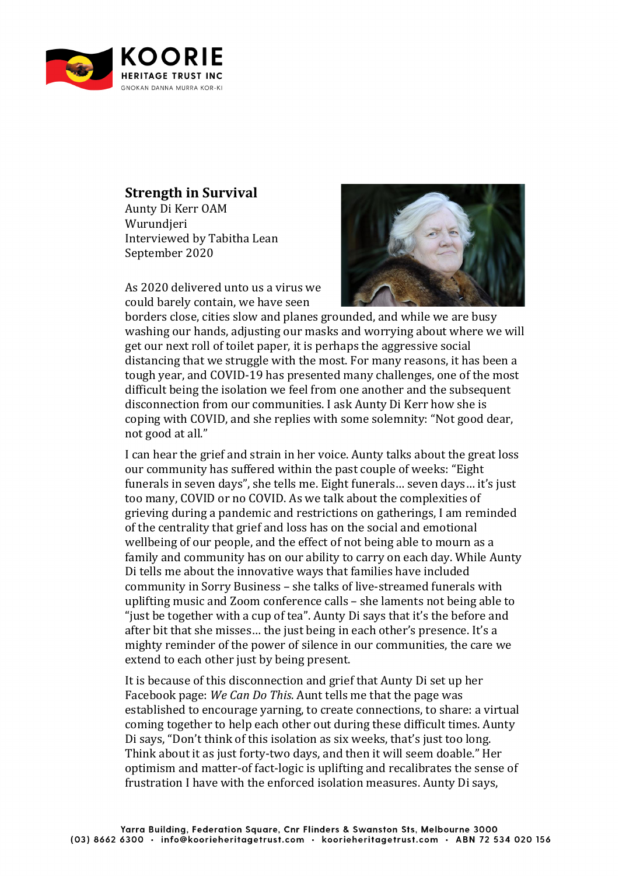

## **Strength in Survival**

Aunty Di Kerr OAM Wurundieri Interviewed by Tabitha Lean September 2020

As 2020 delivered unto us a virus we could barely contain, we have seen



borders close, cities slow and planes grounded, and while we are busy washing our hands, adjusting our masks and worrying about where we will get our next roll of toilet paper, it is perhaps the aggressive social distancing that we struggle with the most. For many reasons, it has been a tough year, and COVID-19 has presented many challenges, one of the most difficult being the isolation we feel from one another and the subsequent disconnection from our communities. I ask Aunty Di Kerr how she is coping with COVID, and she replies with some solemnity: "Not good dear, not good at all."

I can hear the grief and strain in her voice. Aunty talks about the great loss our community has suffered within the past couple of weeks: "Eight" funerals in seven days", she tells me. Eight funerals... seven days... it's just too many, COVID or no COVID. As we talk about the complexities of grieving during a pandemic and restrictions on gatherings, I am reminded of the centrality that grief and loss has on the social and emotional wellbeing of our people, and the effect of not being able to mourn as a family and community has on our ability to carry on each day. While Aunty Di tells me about the innovative ways that families have included community in Sorry Business - she talks of live-streamed funerals with uplifting music and Zoom conference calls – she laments not being able to "just be together with a cup of tea". Aunty Di says that it's the before and after bit that she misses... the just being in each other's presence. It's a mighty reminder of the power of silence in our communities, the care we extend to each other just by being present.

It is because of this disconnection and grief that Aunty Di set up her Facebook page: *We Can Do This*. Aunt tells me that the page was established to encourage yarning, to create connections, to share: a virtual coming together to help each other out during these difficult times. Aunty Di says, "Don't think of this isolation as six weeks, that's just too long. Think about it as just forty-two days, and then it will seem doable." Her optimism and matter-of fact-logic is uplifting and recalibrates the sense of frustration I have with the enforced isolation measures. Aunty Di says,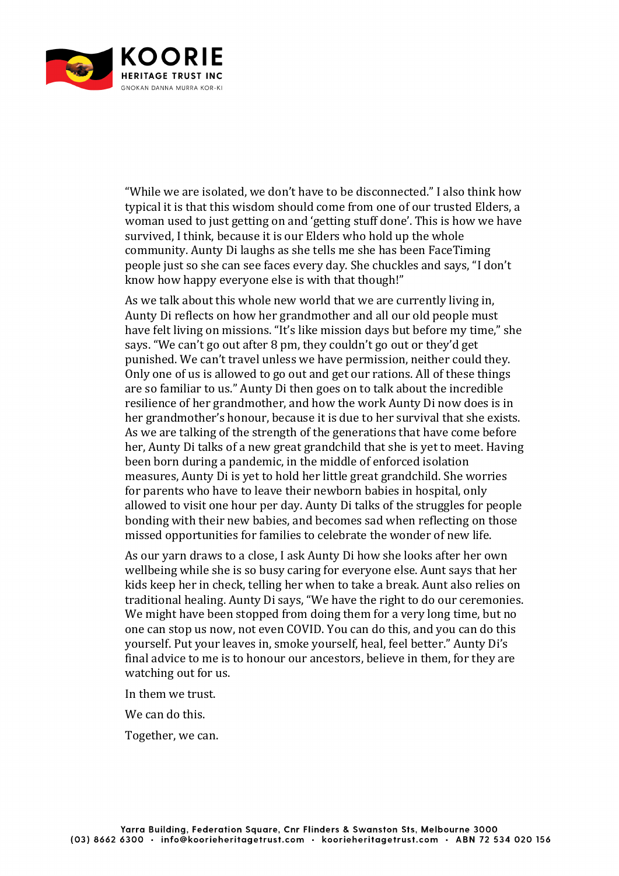

"While we are isolated, we don't have to be disconnected." I also think how typical it is that this wisdom should come from one of our trusted Elders, a woman used to just getting on and 'getting stuff done'. This is how we have survived. I think, because it is our Elders who hold up the whole community. Aunty Di laughs as she tells me she has been FaceTiming people just so she can see faces every day. She chuckles and says, "I don't know how happy everyone else is with that though!"

As we talk about this whole new world that we are currently living in, Aunty Di reflects on how her grandmother and all our old people must have felt living on missions. "It's like mission days but before my time," she says. "We can't go out after 8 pm, they couldn't go out or they'd get punished. We can't travel unless we have permission, neither could they. Only one of us is allowed to go out and get our rations. All of these things are so familiar to us." Aunty Di then goes on to talk about the incredible resilience of her grandmother, and how the work Aunty Di now does is in her grandmother's honour, because it is due to her survival that she exists. As we are talking of the strength of the generations that have come before her, Aunty Di talks of a new great grandchild that she is yet to meet. Having been born during a pandemic, in the middle of enforced isolation measures, Aunty Di is yet to hold her little great grandchild. She worries for parents who have to leave their newborn babies in hospital, only allowed to visit one hour per day. Aunty Di talks of the struggles for people bonding with their new babies, and becomes sad when reflecting on those missed opportunities for families to celebrate the wonder of new life.

As our varn draws to a close, I ask Aunty Di how she looks after her own wellbeing while she is so busy caring for everyone else. Aunt says that her kids keep her in check, telling her when to take a break. Aunt also relies on traditional healing. Aunty Di says, "We have the right to do our ceremonies. We might have been stopped from doing them for a very long time, but no one can stop us now, not even COVID. You can do this, and you can do this yourself. Put your leaves in, smoke yourself, heal, feel better." Aunty Di's final advice to me is to honour our ancestors, believe in them, for they are watching out for us.

In them we trust.

We can do this.

Together, we can.